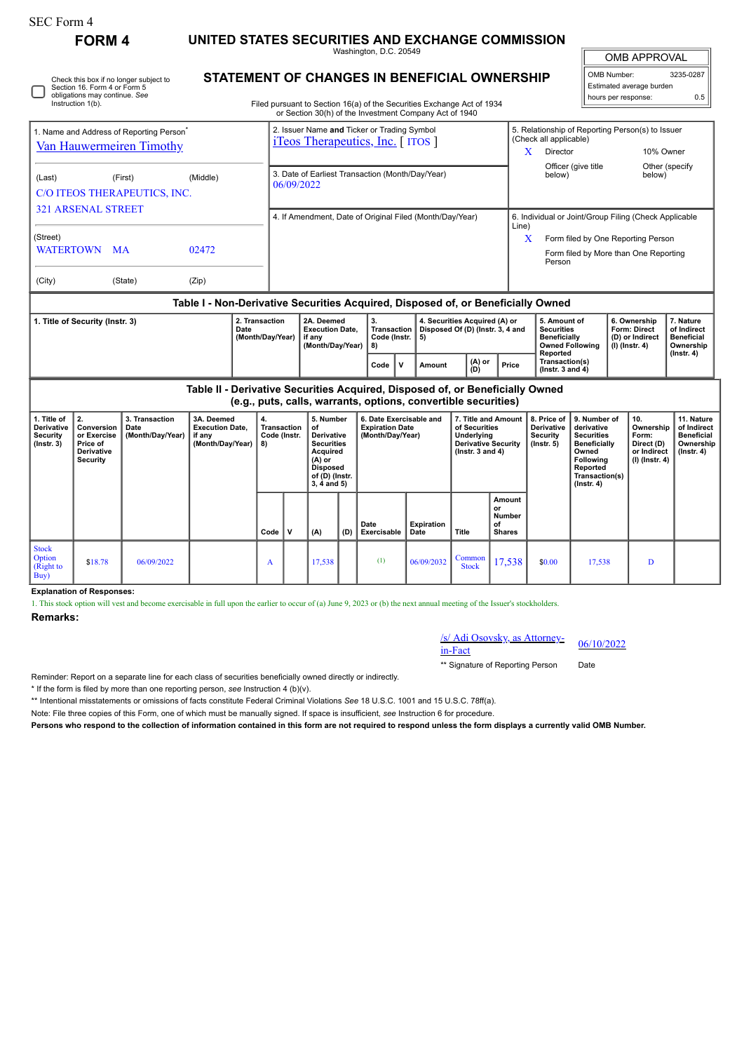| <b>SEC Form 4</b>                                                                                                                                                 |                                                                              |                                            |                                                                               |  |                                                                            |                                                                                                                                                                                  |                                                                                                                                    |      |                                                                                                |        |                                                                   |                                                                                                            |                                                                                                |                                                                             |                                                                                                                                                |                                                                            |                                                                                    |                                                                                 |  |
|-------------------------------------------------------------------------------------------------------------------------------------------------------------------|------------------------------------------------------------------------------|--------------------------------------------|-------------------------------------------------------------------------------|--|----------------------------------------------------------------------------|----------------------------------------------------------------------------------------------------------------------------------------------------------------------------------|------------------------------------------------------------------------------------------------------------------------------------|------|------------------------------------------------------------------------------------------------|--------|-------------------------------------------------------------------|------------------------------------------------------------------------------------------------------------|------------------------------------------------------------------------------------------------|-----------------------------------------------------------------------------|------------------------------------------------------------------------------------------------------------------------------------------------|----------------------------------------------------------------------------|------------------------------------------------------------------------------------|---------------------------------------------------------------------------------|--|
| <b>FORM 4</b>                                                                                                                                                     |                                                                              |                                            |                                                                               |  | UNITED STATES SECURITIES AND EXCHANGE COMMISSION<br>Washington, D.C. 20549 |                                                                                                                                                                                  |                                                                                                                                    |      |                                                                                                |        |                                                                   |                                                                                                            |                                                                                                |                                                                             |                                                                                                                                                |                                                                            | <b>OMB APPROVAL</b>                                                                |                                                                                 |  |
| Check this box if no longer subject to<br>Section 16. Form 4 or Form 5<br>obligations may continue. See<br>Instruction 1(b).                                      |                                                                              |                                            |                                                                               |  |                                                                            | STATEMENT OF CHANGES IN BENEFICIAL OWNERSHIP<br>Filed pursuant to Section 16(a) of the Securities Exchange Act of 1934<br>or Section 30(h) of the Investment Company Act of 1940 |                                                                                                                                    |      |                                                                                                |        |                                                                   |                                                                                                            |                                                                                                |                                                                             |                                                                                                                                                |                                                                            | OMB Number:<br>3235-0287<br>Estimated average burden<br>hours per response:<br>0.5 |                                                                                 |  |
| 1. Name and Address of Reporting Person <sup>7</sup><br>Van Hauwermeiren Timothy                                                                                  |                                                                              |                                            |                                                                               |  |                                                                            |                                                                                                                                                                                  |                                                                                                                                    |      | 2. Issuer Name and Ticker or Trading Symbol<br><i>iTeos Therapeutics, Inc.</i> [ <i>ITOS</i> ] |        |                                                                   |                                                                                                            | (Check all applicable)<br>Director<br>X                                                        | Officer (give title                                                         | 5. Relationship of Reporting Person(s) to Issuer<br>10% Owner<br>Other (specify                                                                |                                                                            |                                                                                    |                                                                                 |  |
| (Last)<br>(First)<br>(Middle)<br>C/O ITEOS THERAPEUTICS, INC.<br><b>321 ARSENAL STREET</b>                                                                        |                                                                              |                                            |                                                                               |  |                                                                            | 3. Date of Earliest Transaction (Month/Day/Year)<br>below)<br>06/09/2022<br>4. If Amendment, Date of Original Filed (Month/Day/Year)                                             |                                                                                                                                    |      |                                                                                                |        |                                                                   |                                                                                                            |                                                                                                |                                                                             |                                                                                                                                                | below)<br>6. Individual or Joint/Group Filing (Check Applicable            |                                                                                    |                                                                                 |  |
| (Street)<br><b>WATERTOWN</b><br>02472<br><b>MA</b>                                                                                                                |                                                                              |                                            |                                                                               |  | Line)<br>X<br>Person                                                       |                                                                                                                                                                                  |                                                                                                                                    |      |                                                                                                |        |                                                                   |                                                                                                            |                                                                                                | Form filed by One Reporting Person<br>Form filed by More than One Reporting |                                                                                                                                                |                                                                            |                                                                                    |                                                                                 |  |
| (City)<br>(State)<br>(Zip)                                                                                                                                        |                                                                              |                                            |                                                                               |  |                                                                            |                                                                                                                                                                                  |                                                                                                                                    |      |                                                                                                |        |                                                                   |                                                                                                            |                                                                                                |                                                                             |                                                                                                                                                |                                                                            |                                                                                    |                                                                                 |  |
| Table I - Non-Derivative Securities Acquired, Disposed of, or Beneficially Owned<br>2. Transaction<br>1. Title of Security (Instr. 3)<br>Date<br>(Month/Day/Year) |                                                                              |                                            |                                                                               |  |                                                                            |                                                                                                                                                                                  | 2A. Deemed<br><b>Execution Date,</b><br>if any<br>(Month/Day/Year)                                                                 |      | 3.<br>Transaction<br>Code (Instr.<br>5)<br>8)                                                  |        | 4. Securities Acquired (A) or<br>Disposed Of (D) (Instr. 3, 4 and |                                                                                                            | 5. Amount of<br><b>Securities</b><br><b>Beneficially</b><br><b>Owned Following</b><br>Reported |                                                                             |                                                                                                                                                | 6. Ownership<br><b>Form: Direct</b><br>(D) or Indirect<br>$(I)$ (Instr. 4) | 7. Nature<br>of Indirect<br><b>Beneficial</b><br>Ownership<br>$($ lnstr. 4 $)$     |                                                                                 |  |
|                                                                                                                                                                   |                                                                              |                                            |                                                                               |  |                                                                            |                                                                                                                                                                                  |                                                                                                                                    | Code | $\mathbf v$                                                                                    | Amount | $(A)$ or<br>(D)                                                   | Price                                                                                                      | Transaction(s)<br>$($ lnstr. 3 and 4 $)$                                                       |                                                                             |                                                                                                                                                |                                                                            |                                                                                    |                                                                                 |  |
|                                                                                                                                                                   |                                                                              |                                            | Table II - Derivative Securities Acquired, Disposed of, or Beneficially Owned |  |                                                                            |                                                                                                                                                                                  |                                                                                                                                    |      | (e.g., puts, calls, warrants, options, convertible securities)                                 |        |                                                                   |                                                                                                            |                                                                                                |                                                                             |                                                                                                                                                |                                                                            |                                                                                    |                                                                                 |  |
| 1. Title of<br>Derivative<br><b>Security</b><br>$($ Instr. 3 $)$                                                                                                  | 2.<br>Conversion<br>or Exercise<br>Price of<br>Derivative<br><b>Security</b> | 3. Transaction<br>Date<br>(Month/Day/Year) | 3A. Deemed<br><b>Execution Date,</b><br>if any<br>(Month/Day/Year)            |  | 4.<br>Transaction<br>Code (Instr.<br>8)                                    |                                                                                                                                                                                  | 5. Number<br>of<br>Derivative<br><b>Securities</b><br>Acquired<br>$(A)$ or<br><b>Disposed</b><br>of (D) (Instr.<br>$3, 4$ and $5)$ |      | 6. Date Exercisable and<br><b>Expiration Date</b><br>(Month/Day/Year)                          |        |                                                                   | 7. Title and Amount<br>of Securities<br>Underlying<br><b>Derivative Security</b><br>$($ lnstr. 3 and 4 $)$ |                                                                                                | 8. Price of<br>Derivative<br>Security<br>$($ lnstr. 5 $)$                   | 9. Number of<br>derivative<br><b>Securities</b><br><b>Beneficially</b><br>Owned<br>Following<br>Reported<br>Transaction(s)<br>$($ Instr. 4 $)$ |                                                                            | 10.<br>Ownership<br>Form:<br>Direct (D)<br>or Indirect<br>(I) (Instr. 4)           | 11. Nature<br>of Indirect<br><b>Beneficial</b><br>Ownership<br>$($ Instr. 4 $)$ |  |
|                                                                                                                                                                   |                                                                              |                                            |                                                                               |  | Code                                                                       | V                                                                                                                                                                                | (A)                                                                                                                                | (D)  | Date<br>Exercisable                                                                            |        | <b>Expiration</b><br>Date                                         | Title                                                                                                      | Amount<br>or<br>Number<br>of<br><b>Shares</b>                                                  |                                                                             |                                                                                                                                                |                                                                            |                                                                                    |                                                                                 |  |
| <b>Stock</b><br>Option<br>(Right to<br>Buy)                                                                                                                       | \$18.78                                                                      | 06/09/2022                                 |                                                                               |  | A                                                                          |                                                                                                                                                                                  | 17,538                                                                                                                             |      | (1)                                                                                            |        | 06/09/2032                                                        | Common<br><b>Stock</b>                                                                                     | 17,538                                                                                         | \$0.00                                                                      | 17.538                                                                                                                                         |                                                                            | D                                                                                  |                                                                                 |  |

**Explanation of Responses:**

1. This stock option will vest and become exercisable in full upon the earlier to occur of (a) June 9, 2023 or (b) the next annual meeting of the Issuer's stockholders.

## **Remarks:**

/s/ Adi Osovsky, as Attorney-in-Fact 06/10/2022

\*\* Signature of Reporting Person Date

Reminder: Report on a separate line for each class of securities beneficially owned directly or indirectly.

\* If the form is filed by more than one reporting person, *see* Instruction 4 (b)(v).

\*\* Intentional misstatements or omissions of facts constitute Federal Criminal Violations *See* 18 U.S.C. 1001 and 15 U.S.C. 78ff(a).

Note: File three copies of this Form, one of which must be manually signed. If space is insufficient, *see* Instruction 6 for procedure.

**Persons who respond to the collection of information contained in this form are not required to respond unless the form displays a currently valid OMB Number.**